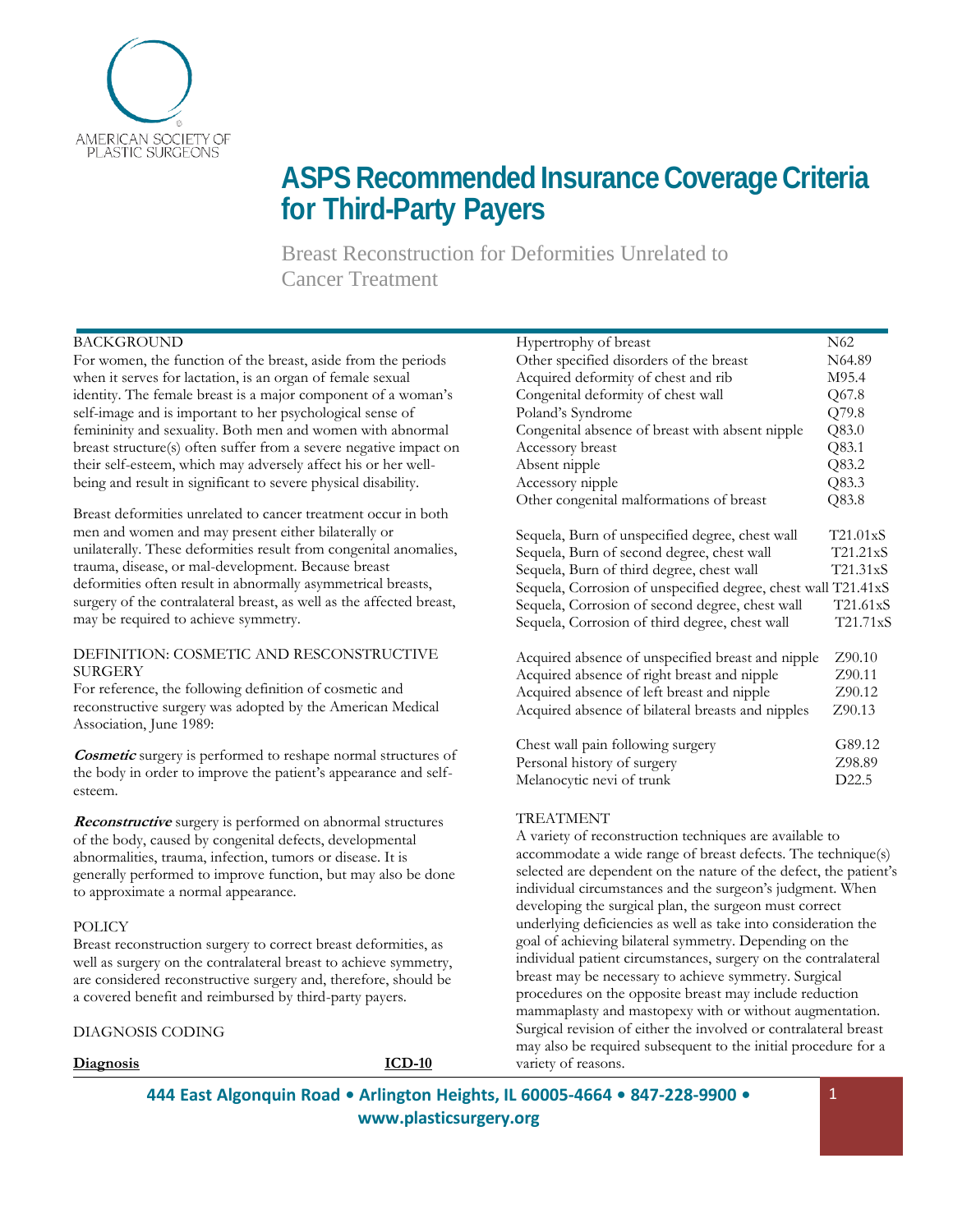

# **ASPS RecommendedInsurance Coverage Criteria for Third-Party Payers**

Breast Reconstruction for Deformities Unrelated to Cancer Treatment

# BACKGROUND

For women, the function of the breast, aside from the periods when it serves for lactation, is an organ of female sexual identity. The female breast is a major component of a woman's self-image and is important to her psychological sense of femininity and sexuality. Both men and women with abnormal breast structure(s) often suffer from a severe negative impact on their self-esteem, which may adversely affect his or her wellbeing and result in significant to severe physical disability.

Breast deformities unrelated to cancer treatment occur in both men and women and may present either bilaterally or unilaterally. These deformities result from congenital anomalies, trauma, disease, or mal-development. Because breast deformities often result in abnormally asymmetrical breasts, surgery of the contralateral breast, as well as the affected breast, may be required to achieve symmetry.

#### DEFINITION: COSMETIC AND RESCONSTRUCTIVE **SURGERY**

For reference, the following definition of cosmetic and reconstructive surgery was adopted by the American Medical Association, June 1989:

**Cosmetic** surgery is performed to reshape normal structures of the body in order to improve the patient's appearance and selfesteem.

**Reconstructive** surgery is performed on abnormal structures of the body, caused by congenital defects, developmental abnormalities, trauma, infection, tumors or disease. It is generally performed to improve function, but may also be done to approximate a normal appearance.

## POLICY

Breast reconstruction surgery to correct breast deformities, as well as surgery on the contralateral breast to achieve symmetry, are considered reconstructive surgery and, therefore, should be a covered benefit and reimbursed by third-party payers.

DIAGNOSIS CODING

**Diagnosis ICD-10**

| Hypertrophy of breast                                         | N62               |
|---------------------------------------------------------------|-------------------|
| Other specified disorders of the breast                       | N64.89            |
| Acquired deformity of chest and rib                           | M95.4             |
| Congenital deformity of chest wall                            | Q67.8             |
| Poland's Syndrome                                             | Q79.8             |
| Congenital absence of breast with absent nipple               | Q83.0             |
| Accessory breast                                              | Q83.1             |
| Absent nipple                                                 | Q83.2             |
| Accessory nipple                                              | Q83.3             |
| Other congenital malformations of breast                      | Q83.8             |
| Sequela, Burn of unspecified degree, chest wall               | T21.01xS          |
| Sequela, Burn of second degree, chest wall                    | T21.21xS          |
| Sequela, Burn of third degree, chest wall                     | T21.31xS          |
| Sequela, Corrosion of unspecified degree, chest wall T21.41xS |                   |
| Sequela, Corrosion of second degree, chest wall               | T21.61xS          |
| Sequela, Corrosion of third degree, chest wall                | T21.71xS          |
| Acquired absence of unspecified breast and nipple             | Z90.10            |
| Acquired absence of right breast and nipple                   | Z90.11            |
| Acquired absence of left breast and nipple                    | Z90.12            |
| Acquired absence of bilateral breasts and nipples             | Z90.13            |
| Chest wall pain following surgery                             | G89.12            |
| Personal history of surgery                                   | Z98.89            |
| Melanocytic nevi of trunk                                     | D <sub>22.5</sub> |
|                                                               |                   |

## TREATMENT

A variety of reconstruction techniques are available to accommodate a wide range of breast defects. The technique(s) selected are dependent on the nature of the defect, the patient's individual circumstances and the surgeon's judgment. When developing the surgical plan, the surgeon must correct underlying deficiencies as well as take into consideration the goal of achieving bilateral symmetry. Depending on the individual patient circumstances, surgery on the contralateral breast may be necessary to achieve symmetry. Surgical procedures on the opposite breast may include reduction mammaplasty and mastopexy with or without augmentation. Surgical revision of either the involved or contralateral breast may also be required subsequent to the initial procedure for a variety of reasons.

**444 East Algonquin Road • Arlington Heights, IL 60005-4664 • 847-228-9900 • [www.plasticsurgery.org](http://www.plasticsurgery.org/)**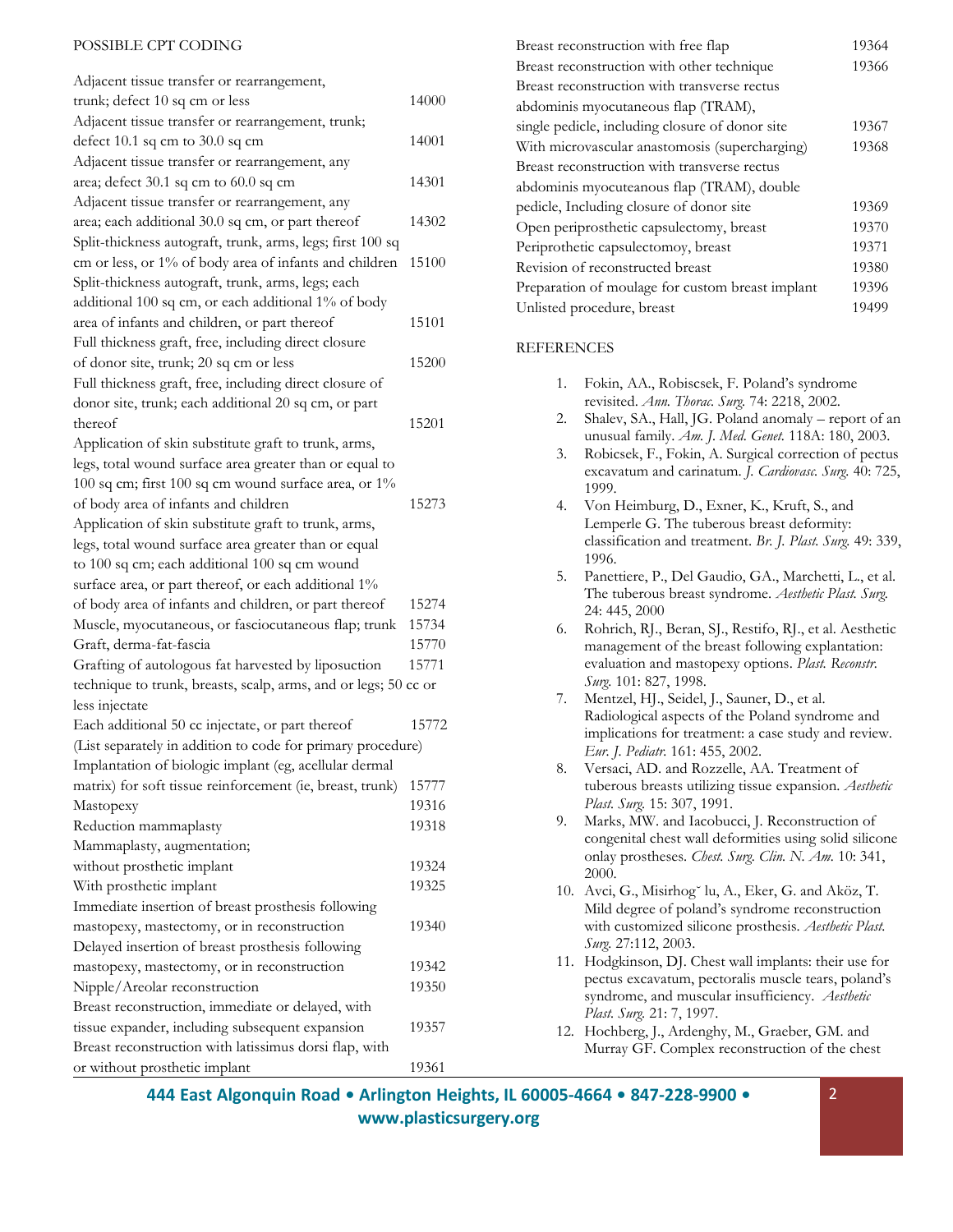#### POSSIBLE CPT CODING

| Adjacent tissue transfer or rearrangement,                      |       |
|-----------------------------------------------------------------|-------|
| trunk; defect 10 sq cm or less                                  | 14000 |
| Adjacent tissue transfer or rearrangement, trunk;               |       |
| defect $10.1$ sq cm to $30.0$ sq cm                             | 14001 |
| Adjacent tissue transfer or rearrangement, any                  |       |
| area; defect 30.1 sq cm to 60.0 sq cm                           | 14301 |
| Adjacent tissue transfer or rearrangement, any                  |       |
|                                                                 |       |
| area; each additional 30.0 sq cm, or part thereof               | 14302 |
| Split-thickness autograft, trunk, arms, legs; first 100 sq      |       |
| cm or less, or 1% of body area of infants and children          | 15100 |
| Split-thickness autograft, trunk, arms, legs; each              |       |
| additional 100 sq cm, or each additional 1% of body             |       |
| area of infants and children, or part thereof                   | 15101 |
| Full thickness graft, free, including direct closure            |       |
| of donor site, trunk; 20 sq cm or less                          | 15200 |
| Full thickness graft, free, including direct closure of         |       |
| donor site, trunk; each additional 20 sq cm, or part            |       |
| thereof                                                         | 15201 |
| Application of skin substitute graft to trunk, arms,            |       |
| legs, total wound surface area greater than or equal to         |       |
| 100 sq cm; first 100 sq cm wound surface area, or 1%            |       |
| of body area of infants and children                            | 15273 |
| Application of skin substitute graft to trunk, arms,            |       |
| legs, total wound surface area greater than or equal            |       |
| to 100 sq cm; each additional 100 sq cm wound                   |       |
|                                                                 |       |
| surface area, or part thereof, or each additional 1%            |       |
| of body area of infants and children, or part thereof           | 15274 |
| Muscle, myocutaneous, or fasciocutaneous flap; trunk            | 15734 |
| Graft, derma-fat-fascia                                         | 15770 |
| Grafting of autologous fat harvested by liposuction             | 15771 |
| technique to trunk, breasts, scalp, arms, and or legs; 50 cc or |       |
| less injectate                                                  |       |
| Each additional 50 cc injectate, or part thereof                | 15772 |
| (List separately in addition to code for primary procedure)     |       |
| Implantation of biologic implant (eg, acellular dermal          |       |
| matrix) for soft tissue reinforcement (ie, breast, trunk)       | 15777 |
| Mastopexy                                                       | 19316 |
| Reduction mammaplasty                                           | 19318 |
| Mammaplasty, augmentation;                                      |       |
| without prosthetic implant                                      | 19324 |
| With prosthetic implant                                         | 19325 |
| Immediate insertion of breast prosthesis following              |       |
| mastopexy, mastectomy, or in reconstruction                     | 19340 |
|                                                                 |       |
| Delayed insertion of breast prosthesis following                |       |
| mastopexy, mastectomy, or in reconstruction                     | 19342 |
| Nipple/Areolar reconstruction                                   | 19350 |
| Breast reconstruction, immediate or delayed, with               |       |
| tissue expander, including subsequent expansion                 | 19357 |
| Breast reconstruction with latissimus dorsi flap, with          |       |
| or without prosthetic implant                                   | 19361 |

| Breast reconstruction with free flap             | 19364 |
|--------------------------------------------------|-------|
| Breast reconstruction with other technique       | 19366 |
| Breast reconstruction with transverse rectus     |       |
| abdominis myocutaneous flap (TRAM),              |       |
| single pedicle, including closure of donor site  | 19367 |
| With microvascular anastomosis (supercharging)   | 19368 |
| Breast reconstruction with transverse rectus     |       |
| abdominis myocuteanous flap (TRAM), double       |       |
| pedicle, Including closure of donor site         | 19369 |
| Open periprosthetic capsulectomy, breast         | 19370 |
| Periprothetic capsulectomoy, breast              | 19371 |
| Revision of reconstructed breast                 | 19380 |
| Preparation of moulage for custom breast implant | 19396 |
| Unlisted procedure, breast                       | 19499 |

## **REFERENCES**

| 1.  | Fokin, AA., Robiscsek, F. Poland's syndrome                                                                 |
|-----|-------------------------------------------------------------------------------------------------------------|
|     | revisited. Ann. Thorac. Surg. 74: 2218, 2002.                                                               |
| 2.  | Shalev, SA., Hall, JG. Poland anomaly - report of an<br>unusual family. Am. J. Med. Genet. 118A: 180, 2003. |
| 3.  | Robicsek, F., Fokin, A. Surgical correction of pectus                                                       |
|     | excavatum and carinatum. J. Cardiovasc. Surg. 40: 725,<br>1999.                                             |
| 4.  | Von Heimburg, D., Exner, K., Kruft, S., and                                                                 |
|     | Lemperle G. The tuberous breast deformity:                                                                  |
|     | classification and treatment. Br. J. Plast. Surg. 49: 339,                                                  |
|     | 1996.                                                                                                       |
| 5.  | Panettiere, P., Del Gaudio, GA., Marchetti, L., et al.                                                      |
|     | The tuberous breast syndrome. Aesthetic Plast. Surg.                                                        |
|     | 24: 445, 2000                                                                                               |
| 6.  | Rohrich, RJ., Beran, SJ., Restifo, RJ., et al. Aesthetic                                                    |
|     | management of the breast following explantation:                                                            |
|     | evaluation and mastopexy options. Plast. Reconstr.                                                          |
|     | Surg. 101: 827, 1998.                                                                                       |
| 7.  | Mentzel, HJ., Seidel, J., Sauner, D., et al.                                                                |
|     | Radiological aspects of the Poland syndrome and                                                             |
|     | implications for treatment: a case study and review.                                                        |
|     | Eur. J. Pediatr. 161: 455, 2002.                                                                            |
| 8.  | Versaci, AD. and Rozzelle, AA. Treatment of                                                                 |
|     | tuberous breasts utilizing tissue expansion. Aesthetic                                                      |
|     | Plast. Surg. 15: 307, 1991.                                                                                 |
| 9.  | Marks, MW. and Iacobucci, J. Reconstruction of                                                              |
|     | congenital chest wall deformities using solid silicone                                                      |
|     | onlay prostheses. Chest. Surg. Clin. N. Am. 10: 341,                                                        |
|     | 2000.                                                                                                       |
| 10. | Avci, G., Misirhog lu, A., Eker, G. and Aköz, T.                                                            |
|     | Mild degree of poland's syndrome reconstruction                                                             |
|     | with customized silicone prosthesis. Aesthetic Plast.                                                       |
|     | Surg. 27:112, 2003.                                                                                         |
| 11. | Hodgkinson, DJ. Chest wall implants: their use for                                                          |
|     | pectus excavatum, pectoralis muscle tears, poland's                                                         |
|     | syndrome, and muscular insufficiency. Aesthetic                                                             |

*Plast. Surg.* 21: 7, 1997. 12. Hochberg, J., Ardenghy, M., Graeber, GM. and Murray GF. Complex reconstruction of the chest

**444 East Algonquin Road • Arlington Heights, IL 60005-4664 • 847-228-9900 • [www.plasticsurgery.org](http://www.plasticsurgery.org/)**